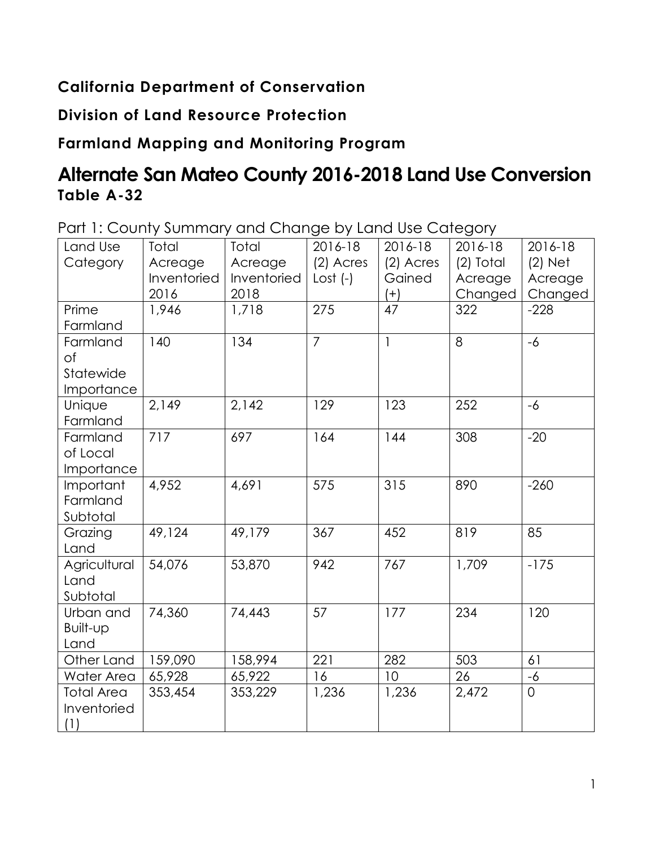## **California Department of Conservation**

## **Division of Land Resource Protection**

## **Farmland Mapping and Monitoring Program**

# **Alternate San Mateo County 2016-2018 Land Use Conversion Table A-32**

Part 1: County Summary and Change by Land Use Category

| Land Use          | Total       | Total       | 2016-18        | 2016-18      | 2016-18     | 2016-18     |
|-------------------|-------------|-------------|----------------|--------------|-------------|-------------|
| Category          | Acreage     | Acreage     | $(2)$ Acres    | $(2)$ Acres  | $(2)$ Total | $(2)$ Net   |
|                   | Inventoried | Inventoried | Lost $(-)$     | Gained       | Acreage     | Acreage     |
|                   | 2016        | 2018        |                | $(+)$        | Changed     | Changed     |
| Prime             | 1,946       | 1,718       | 275            | 47           | 322         | $-228$      |
| Farmland          |             |             |                |              |             |             |
| Farmland          | 140         | 134         | $\overline{7}$ | $\mathbf{1}$ | 8           | $-6$        |
| of                |             |             |                |              |             |             |
| Statewide         |             |             |                |              |             |             |
| Importance        |             |             |                |              |             |             |
| Unique            | 2,149       | 2,142       | 129            | 123          | 252         | $-6$        |
| Farmland          |             |             |                |              |             |             |
| Farmland          | 717         | 697         | 164            | 144          | 308         | $-20$       |
| of Local          |             |             |                |              |             |             |
| Importance        |             |             |                |              |             |             |
| Important         | 4,952       | 4,691       | 575            | 315          | 890         | $-260$      |
| Farmland          |             |             |                |              |             |             |
| Subtotal          |             |             |                |              |             |             |
| Grazing           | 49,124      | 49,179      | 367            | 452          | 819         | 85          |
| Land              |             |             |                |              |             |             |
| Agricultural      | 54,076      | 53,870      | 942            | 767          | 1,709       | $-175$      |
| Land              |             |             |                |              |             |             |
| Subtotal          |             |             |                |              |             |             |
| Urban and         | 74,360      | 74,443      | 57             | 177          | 234         | 120         |
| Built-up          |             |             |                |              |             |             |
| Land              |             |             |                |              |             |             |
| Other Land        | 159,090     | 158,994     | 221            | 282          | 503         | 61          |
| Water Area        | 65,928      | 65,922      | 16             | 10           | 26          | -6          |
| <b>Total Area</b> | 353,454     | 353,229     | 1,236          | 1,236        | 2,472       | $\mathbf 0$ |
| Inventoried       |             |             |                |              |             |             |
| (1)               |             |             |                |              |             |             |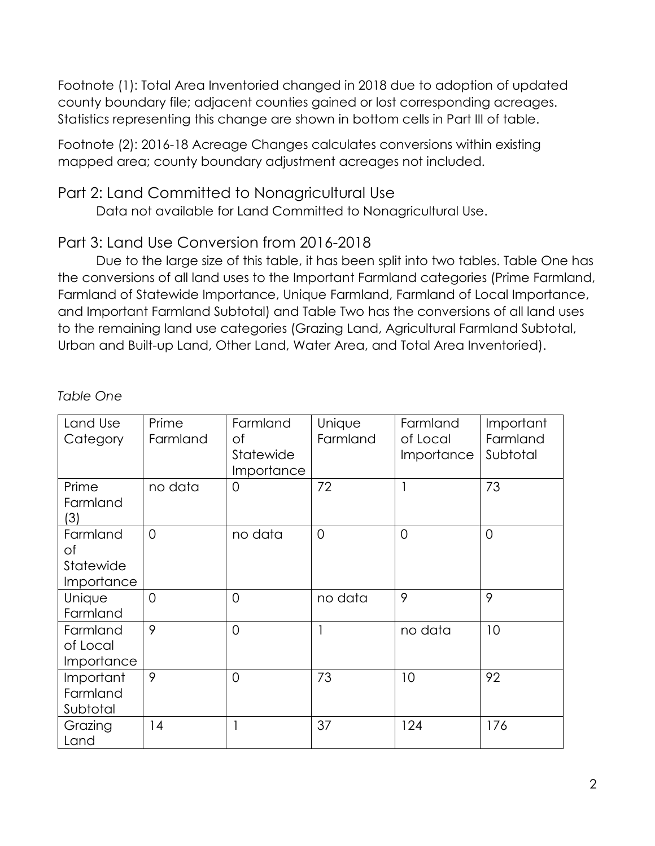Footnote (1): Total Area Inventoried changed in 2018 due to adoption of updated county boundary file; adjacent counties gained or lost corresponding acreages. Statistics representing this change are shown in bottom cells in Part III of table.

Footnote (2): 2016-18 Acreage Changes calculates conversions within existing mapped area; county boundary adjustment acreages not included.

#### Part 2: Land Committed to Nonagricultural Use

Data not available for Land Committed to Nonagricultural Use.

### Part 3: Land Use Conversion from 2016-2018

Due to the large size of this table, it has been split into two tables. Table One has the conversions of all land uses to the Important Farmland categories (Prime Farmland, Farmland of Statewide Importance, Unique Farmland, Farmland of Local Importance, and Important Farmland Subtotal) and Table Two has the conversions of all land uses to the remaining land use categories (Grazing Land, Agricultural Farmland Subtotal, Urban and Built-up Land, Other Land, Water Area, and Total Area Inventoried).

*Table One* 

| Land Use<br>Category                      | Prime<br>Farmland | Farmland<br>Οf<br>Statewide<br>Importance | Unique<br>Farmland | Farmland<br>of Local<br>Importance | Important<br>Farmland<br>Subtotal |
|-------------------------------------------|-------------------|-------------------------------------------|--------------------|------------------------------------|-----------------------------------|
| Prime<br>Farmland<br>(3)                  | no data           | $\Omega$                                  | 72                 | 1                                  | 73                                |
| Farmland<br>Оf<br>Statewide<br>Importance | $\Omega$          | no data                                   | $\Omega$           | $\Omega$                           | $\Omega$                          |
| Unique<br>Farmland                        | $\overline{0}$    | $\overline{0}$                            | no data            | 9                                  | 9                                 |
| Farmland<br>of Local<br>Importance        | 9                 | $\Omega$                                  |                    | no data                            | 10                                |
| Important<br>Farmland<br>Subtotal         | 9                 | $\overline{0}$                            | 73                 | 10                                 | 92                                |
| Grazing<br>Land                           | 14                |                                           | 37                 | 124                                | 176                               |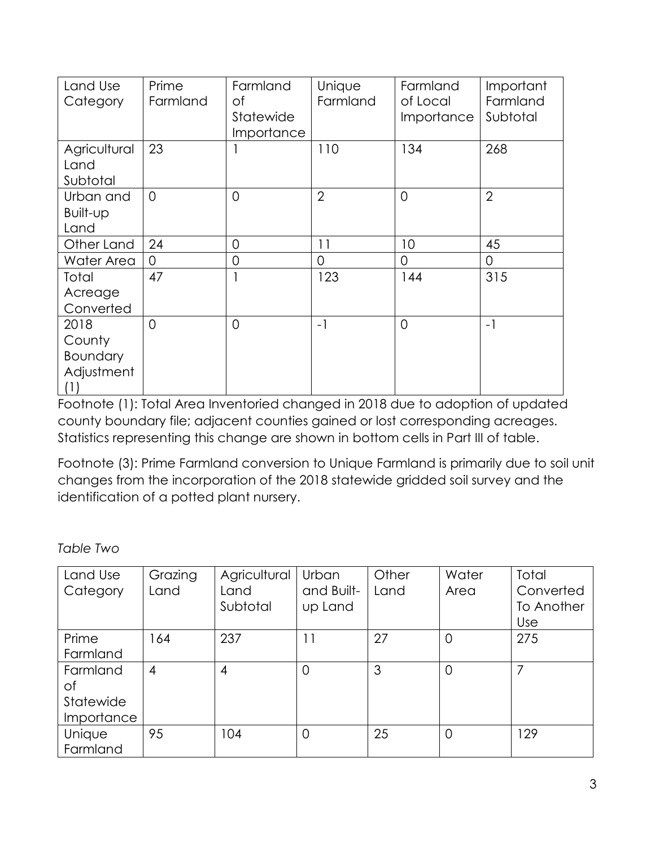| Land Use<br>Category                            | Prime<br>Farmland | Farmland<br>Οf<br>Statewide<br>Importance | Unique<br>Farmland | Farmland<br>of Local<br>Importance | Important<br>Farmland<br>Subtotal |
|-------------------------------------------------|-------------------|-------------------------------------------|--------------------|------------------------------------|-----------------------------------|
| Agricultural<br>Land<br>Subtotal                | 23                |                                           | 110                | 134                                | 268                               |
| Urban and<br>Built-up<br>Land                   | $\overline{0}$    | $\overline{0}$                            | $\overline{2}$     | $\Omega$                           | $\overline{2}$                    |
| Other Land                                      | 24                | $\overline{0}$                            | 11                 | 10                                 | 45                                |
| Water Area                                      | 0                 | 0                                         | $\Omega$           | 0                                  | 0                                 |
| Total<br>Acreage<br>Converted                   | 47                | 1                                         | 123                | 144                                | 315                               |
| 2018<br>County<br>Boundary<br>Adjustment<br>(1) | $\Omega$          | $\Omega$                                  | $-1$               | $\Omega$                           | $-1$                              |

Footnote (1): Total Area Inventoried changed in 2018 due to adoption of updated county boundary file; adjacent counties gained or lost corresponding acreages. Statistics representing this change are shown in bottom cells in Part III of table.

Footnote (3): Prime Farmland conversion to Unique Farmland is primarily due to soil unit changes from the incorporation of the 2018 statewide gridded soil survey and the identification of a potted plant nursery.

*Table Two* 

| Land Use   | Grazing | Agricultural | Urban          | Other | Water          | Total      |
|------------|---------|--------------|----------------|-------|----------------|------------|
| Category   | Land    | Land         | and Built-     | Land  | Area           | Converted  |
|            |         | Subtotal     | up Land        |       |                | To Another |
|            |         |              |                |       |                | Use        |
| Prime      | 164     | 237          | 11             | 27    | $\overline{0}$ | 275        |
| Farmland   |         |              |                |       |                |            |
| Farmland   | 4       | 4            | $\overline{0}$ | 3     | $\overline{0}$ | 7          |
| Оf         |         |              |                |       |                |            |
| Statewide  |         |              |                |       |                |            |
| Importance |         |              |                |       |                |            |
| Unique     | 95      | 104          | $\overline{0}$ | 25    | $\overline{0}$ | 129        |
| Farmland   |         |              |                |       |                |            |